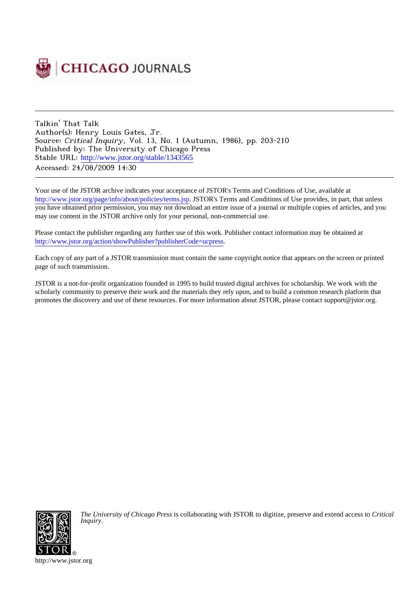

Talkin' That Talk Author(s): Henry Louis Gates, Jr. Source: Critical Inquiry, Vol. 13, No. 1 (Autumn, 1986), pp. 203-210 Published by: The University of Chicago Press Stable URL: [http://www.jstor.org/stable/1343565](http://www.jstor.org/stable/1343565?origin=JSTOR-pdf) Accessed: 24/08/2009 14:30

Your use of the JSTOR archive indicates your acceptance of JSTOR's Terms and Conditions of Use, available at <http://www.jstor.org/page/info/about/policies/terms.jsp>. JSTOR's Terms and Conditions of Use provides, in part, that unless you have obtained prior permission, you may not download an entire issue of a journal or multiple copies of articles, and you may use content in the JSTOR archive only for your personal, non-commercial use.

Please contact the publisher regarding any further use of this work. Publisher contact information may be obtained at [http://www.jstor.org/action/showPublisher?publisherCode=ucpress.](http://www.jstor.org/action/showPublisher?publisherCode=ucpress)

Each copy of any part of a JSTOR transmission must contain the same copyright notice that appears on the screen or printed page of such transmission.

JSTOR is a not-for-profit organization founded in 1995 to build trusted digital archives for scholarship. We work with the scholarly community to preserve their work and the materials they rely upon, and to build a common research platform that promotes the discovery and use of these resources. For more information about JSTOR, please contact support@jstor.org.



*The University of Chicago Press* is collaborating with JSTOR to digitize, preserve and extend access to *Critical Inquiry.*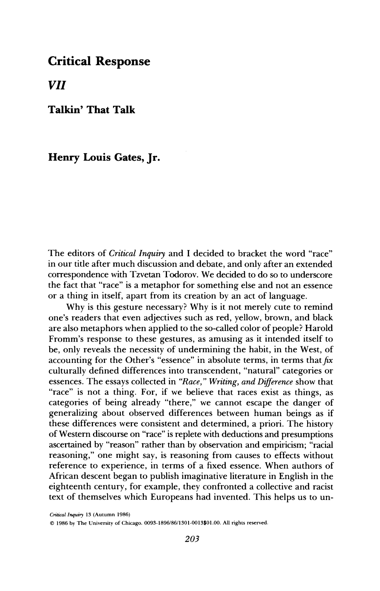## **Critical Response**

## **VII**

## **Talkin' That Talk**

## **Henry Louis Gates, Jr.**

**The editors of Critical Inquiry and I decided to bracket the word "race" in our title after much discussion and debate, and only after an extended correspondence with Tzvetan Todorov. We decided to do so to underscore the fact that "race" is a metaphor for something else and not an essence or a thing in itself, apart from its creation by an act of language.** 

**Why is this gesture necessary? Why is it not merely cute to remind one's readers that even adjectives such as red, yellow, brown, and black are also metaphors when applied to the so-called color of people? Harold Fromm's response to these gestures, as amusing as it intended itself to be, only reveals the necessity of undermining the habit, in the West, of**  accounting for the Other's "essence" in absolute terms, in terms that  $fix$ **culturally defined differences into transcendent, "natural" categories or essences. The essays collected in "Race," Writing, and Difference show that "race" is not a thing. For, if we believe that races exist as things, as categories of being already "there," we cannot escape the danger of generalizing about observed differences between human beings as if these differences were consistent and determined, a priori. The history of Western discourse on "race" is replete with deductions and presumptions ascertained by "reason" rather than by observation and empiricism; "racial reasoning," one might say, is reasoning from causes to effects without reference to experience, in terms of a fixed essence. When authors of African descent began to publish imaginative literature in English in the eighteenth century, for example, they confronted a collective and racist text of themselves which Europeans had invented. This helps us to un-**

**Critical Inquiry 13 (Autumn 1986)** 

**<sup>? 1986</sup> by The University of Chicago. 0093-1896/86/1301-0013\$01.00. All rights reserved.**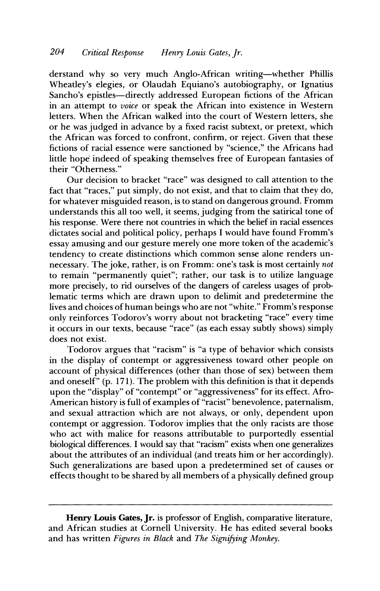**derstand why so very much Anglo-African writing-whether Phillis Wheatley's elegies, or Olaudah Equiano's autobiography, or Ignatius Sancho's epistles-directly addressed European fictions of the African in an attempt to voice or speak the African into existence in Western letters. When the African walked into the court of Western letters, she or he was judged in advance by a fixed racist subtext, or pretext, which the African was forced to confront, confirm, or reject. Given that these fictions of racial essence were sanctioned by "science," the Africans had little hope indeed of speaking themselves free of European fantasies of their "Otherness."** 

**Our decision to bracket "race" was designed to call attention to the fact that "races," put simply, do not exist, and that to claim that they do, for whatever misguided reason, is to stand on dangerous ground. Fromm understands this all too well, it seems, judging from the satirical tone of his response. Were there not countries in which the belief in racial essences dictates social and political policy, perhaps I would have found Fromm's essay amusing and our gesture merely one more token of the academic's tendency to create distinctions which common sense alone renders unnecessary. The joke, rather, is on Fromm: one's task is most certainly not to remain "permanently quiet"; rather, our task is to utilize language more precisely, to rid ourselves of the dangers of careless usages of problematic terms which are drawn upon to delimit and predetermine the lives and choices of human beings who are not "white." Fromm's response only reinforces Todorov's worry about not bracketing "race" every time it occurs in our texts, because "race" (as each essay subtly shows) simply does not exist.** 

**Todorov argues that "racism" is "a type of behavior which consists in the display of contempt or aggressiveness toward other people on account of physical differences (other than those of sex) between them and oneself" (p. 171). The problem with this definition is that it depends upon the "display" of "contempt" or "aggressiveness" for its effect. Afro-American history is full of examples of "racist" benevolence, paternalism, and sexual attraction which are not always, or only, dependent upon contempt or aggression. Todorov implies that the only racists are those who act with malice for reasons attributable to purportedly essential biological differences. I would say that "racism" exists when one generalizes about the attributes of an individual (and treats him or her accordingly). Such generalizations are based upon a predetermined set of causes or effects thought to be shared by all members of a physically defined group** 

**Henry Louis Gates, Jr. is professor of English, comparative literature, and African studies at Cornell University. He has edited several books and has written Figures in Black and The Signifying Monkey.**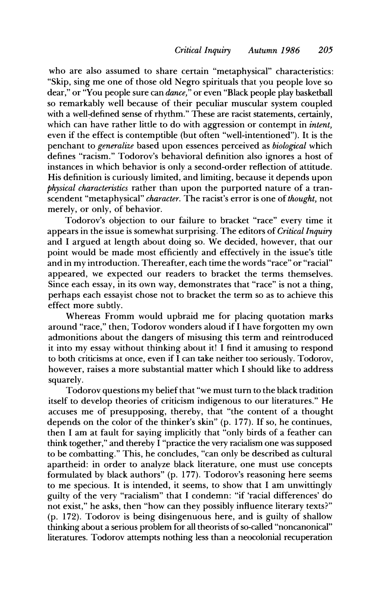**who are also assumed to share certain "metaphysical" characteristics: "Skip, sing me one of those old Negro spirituals that you people love so dear," or "You people sure can dance," or even "Black people play basketball so remarkably well because of their peculiar muscular system coupled with a well-defined sense of rhythm." These are racist statements, certainly, which can have rather little to do with aggression or contempt in intent, even if the effect is contemptible (but often "well-intentioned"). It is the penchant to generalize based upon essences perceived as biological which defines "racism." Todorov's behavioral definition also ignores a host of instances in which behavior is only a second-order reflection of attitude. His definition is curiously limited, and limiting, because it depends upon physical characteristics rather than upon the purported nature of a transcendent "metaphysical" character. The racist's error is one of thought, not merely, or only, of behavior.** 

**Todorov's objection to our failure to bracket "race" every time it appears in the issue is somewhat surprising. The editors of Critical Inquiry and I argued at length about doing so. We decided, however, that our point would be made most efficiently and effectively in the issue's title and in my introduction. Thereafter, each time the words "race" or "racial" appeared, we expected our readers to bracket the terms themselves. Since each essay, in its own way, demonstrates that"race" is not a thing, perhaps each essayist chose not to bracket the term so as to achieve this effect more subtly.** 

**Whereas Fromm would upbraid me for placing quotation marks around "race," then; Todorov wonders aloud if I have forgotten my own admonitions about the dangers of misusing this term and reintroduced it into my essay without thinking about it! I find it amusing to respond to both criticisms at once, even if I can take neither too seriously. Todorov, however, raises a more substantial matter which I should like to address squarely.** 

**Todorov questions my belief that "we must turn to the black tradition itself to develop theories of criticism indigenous to our literatures." He accuses me of presupposing, thereby, that "the content of a thought depends on the color of the thinker's skin" (p. 177). If so, he continues, then I am at fault for saying implicitly that "only birds of a feather can think together," and thereby I "practice the very racialism one was supposed to be combatting." This, he concludes, "can only be described as cultural apartheid: in order to analyze black literature, one must use concepts formulated by black authors" (p. 177). Todorov's reasoning here seems to me specious. It is intended, it seems, to show that I am unwittingly guilty of the very "racialism" that I condemn: "if 'racial differences' do not exist," he asks, then "how can they possibly influence literary texts?" (p. 172). Todorov is being disingenuous here, and is guilty of shallow thinking about a serious problem for all theorists of so-called "noncanonical" literatures. Todorov attempts nothing less than a neocolonial recuperation**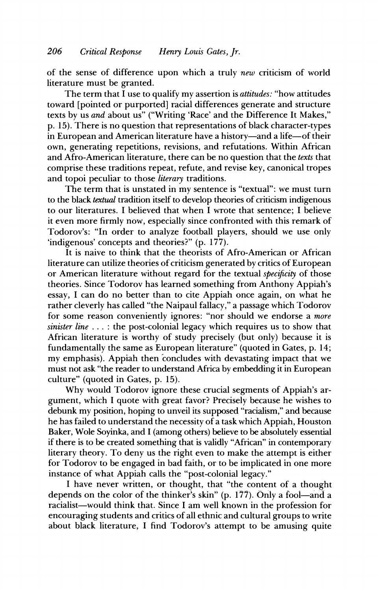**of the sense of difference upon which a truly new criticism of world literature must be granted.** 

**The term that I use to qualify my assertion is attitudes: "how attitudes toward [pointed or purported] racial differences generate and structure texts by us and about us" ("Writing 'Race' and the Difference It Makes," p. 15). There is no question that representations of black character-types in European and American literature have a history-and a life-of their own, generating repetitions, revisions, and refutations. Within African and Afro-American literature, there can be no question that the texts that comprise these traditions repeat, refute, and revise key, canonical tropes and topoi peculiar to those literary traditions.** 

**The term that is unstated in my sentence is "textual": we must turn to the black textual tradition itself to develop theories of criticism indigenous to our literatures. I believed that when I wrote that sentence; I believe it even more firmly now, especially since confronted with this remark of Todorov's: "In order to analyze football players, should we use only 'indigenous' concepts and theories?" (p. 177).** 

**It is naive to think that the theorists of Afro-American or African literature can utilize theories of criticism generated by critics of European or American literature without regard for the textual specificity of those theories. Since Todorov has learned something from Anthony Appiah's essay, I can do no better than to cite Appiah once again, on what he rather cleverly has called "the Naipaul fallacy," a passage which Todorov for some reason conveniently ignores: "nor should we endorse a more sinister line ... : the post-colonial legacy which requires us to show that African literature is worthy of study precisely (but only) because it is fundamentally the same as European literature" (quoted in Gates, p. 14; my emphasis). Appiah then concludes with devastating impact that we must not ask "the reader to understand Africa by embedding it in European culture" (quoted in Gates, p. 15).** 

**Why would Todorov ignore these crucial segments of Appiah's argument, which I quote with great favor? Precisely because he wishes to debunk my position, hoping to unveil its supposed "racialism," and because he has failed to understand the necessity of a task which Appiah, Houston Baker, Wole Soyinka, and I (among others) believe to be absolutely essential if there is to be created something that is validly "African" in contemporary literary theory. To deny us the right even to make the attempt is either for Todorov to be engaged in bad faith, or to be implicated in one more instance of what Appiah calls the "post-colonial legacy."** 

**I have never written, or thought, that "the content of a thought depends on the color of the thinker's skin" (p. 177). Only a fool-and a racialist-would think that. Since I am well known in the profession for encouraging students and critics of all ethnic and cultural groups to write about black literature, I find Todorov's attempt to be amusing quite**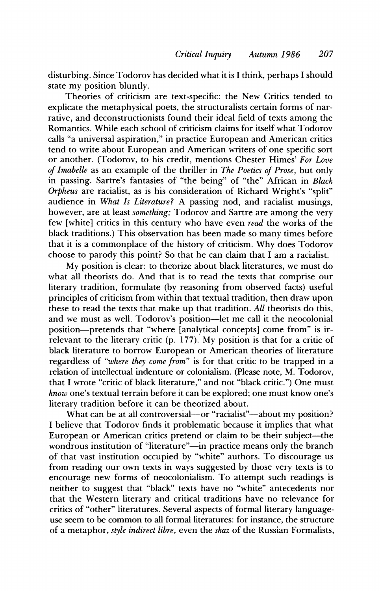**disturbing. Since Todorov has decided what it is I think, perhaps I should state my position bluntly.** 

**Theories of criticism are text-specific: the New Critics tended to explicate the metaphysical poets, the structuralists certain forms of narrative, and deconstructionists found their ideal field of texts among the Romantics. While each school of criticism claims for itself what Todorov calls "a universal aspiration," in practice European and American critics tend to write about European and American writers of one specific sort or another. (Todorov, to his credit, mentions Chester Himes' For Love of Imabelle as an example of the thriller in The Poetics of Prose, but only in passing. Sartre's fantasies of "the being" of "the" African in Black Orpheus are racialist, as is his consideration of Richard Wright's "split" audience in What Is Literature? A passing nod, and racialist musings, however, are at least something; Todorov and Sartre are among the very few [white] critics in this century who have even read the works of the black traditions.) This observation has been made so many times before that it is a commonplace of the history of criticism. Why does Todorov choose to parody this point? So that he can claim that I am a racialist.** 

**My position is clear: to theorize about black literatures, we must do what all theorists do. And that is to read the texts that comprise our literary tradition, formulate (by reasoning from observed facts) useful principles of criticism from within that textual tradition, then draw upon these to read the texts that make up that tradition. All theorists do this,**  and we must as well. Todorov's position-let me call it the neocolonial **position-pretends that "where [analytical concepts] come from" is irrelevant to the literary critic (p. 177). My position is that for a critic of black literature to borrow European or American theories of literature regardless of "where they come from" is for that critic to be trapped in a relation of intellectual indenture or colonialism. (Please note, M. Todorov, that I wrote "critic of black literature," and not "black critic.") One must know one's textual terrain before it can be explored; one must know one's literary tradition before it can be theorized about.** 

What can be at all controversial—or "racialist"—about my position? **I believe that Todorov finds it problematic because it implies that what European or American critics pretend or claim to be their subject-the**  wondrous institution of "literature"-in practice means only the branch **of that vast institution occupied by "white" authors. To discourage us from reading our own texts in ways suggested by those very texts is to encourage new forms of neocolonialism. To attempt such readings is neither to suggest that "black" texts have no "white" antecedents nor that the Western literary and critical traditions have no relevance for critics of "other" literatures. Several aspects of formal literary languageuse seem to be common to all formal literatures: for instance, the structure of a metaphor, style indirect libre, even the skaz of the Russian Formalists,**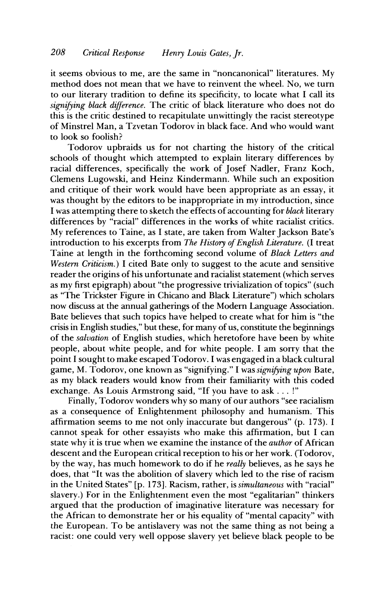**it seems obvious to me, are the same in "noncanonical" literatures. My method does not mean that we have to reinvent the wheel. No, we turn to our literary tradition to define its specificity, to locate what I call its signifying black difference. The critic of black literature who does not do this is the critic destined to recapitulate unwittingly the racist stereotype of Minstrel Man, a Tzvetan Todorov in black face. And who would want to look so foolish?** 

**Todorov upbraids us for not charting the history of the critical schools of thought which attempted to explain literary differences by racial differences, specifically the work of Josef Nadler, Franz Koch, Clemens Lugowski, and Heinz Kindermann. While such an exposition and critique of their work would have been appropriate as an essay, it was thought by the editors to be inappropriate in my introduction, since I was attempting there to sketch the effects of accounting for black literary differences by "racial" differences in the works of white racialist critics. My references to Taine, as I state, are taken from Walter Jackson Bate's introduction to his excerpts from The History of English Literature. (I treat Taine at length in the forthcoming second volume of Black Letters and Western Criticism.) I cited Bate only to suggest to the acute and sensitive reader the origins of his unfortunate and racialist statement (which serves as my first epigraph) about "the progressive trivialization of topics" (such as "The Trickster Figure in Chicano and Black Literature") which scholars now discuss at the annual gatherings of the Modern Language Association. Bate believes that such topics have helped to create what for him is "the crisis in English studies," but these, for many of us, constitute the beginnings of the salvation of English studies, which heretofore have been by white people, about white people, and for white people. I am sorry that the point I sought to make escaped Todorov. I was engaged in a black cultural game, M. Todorov, one known as "signifying." I was signifying upon Bate, as my black readers would know from their familiarity with this coded exchange. As Louis Armstrong said, "If you have to ask ... !"** 

**Finally, Todorov wonders why so many of our authors "see racialism as a consequence of Enlightenment philosophy and humanism. This affirmation seems to me not only inaccurate but dangerous" (p. 173). I cannot speak for other essayists who make this affirmation, but I can state why it is true when we examine the instance of the author of African descent and the European critical reception to his or her work. (Todorov, by the way, has much homework to do if he really believes, as he says he does, that "It was the abolition of slavery which led to the rise of racism in the United States" [p. 173]. Racism, rather, is simultaneous with "racial" slavery.) For in the Enlightenment even the most "egalitarian" thinkers argued that the production of imaginative literature was necessary for the African to demonstrate her or his equality of "mental capacity" with the European. To be antislavery was not the same thing as not being a racist: one could very well oppose slavery yet believe black people to be**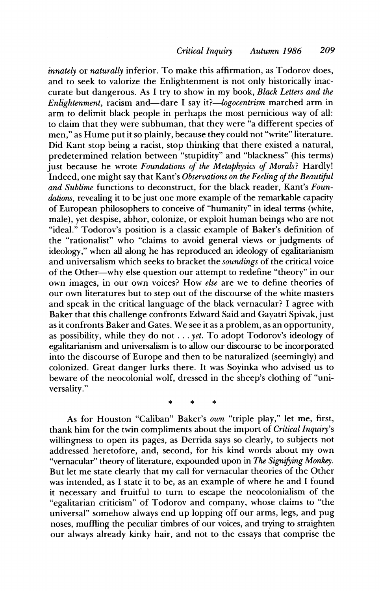**innately or naturally inferior. To make this affirmation, as Todorov does, and to seek to valorize the Enlightenment is not only historically inaccurate but dangerous. As I try to show in my book, Black Letters and the**  Enlightenment, racism and—dare I say it?—logocentrism marched arm in **arm to delimit black people in perhaps the most pernicious way of all: to claim that they were subhuman, that they were "a different species of men," as Hume put it so plainly, because they could not "write" literature. Did Kant stop being a racist, stop thinking that there existed a natural, predetermined relation between "stupidity" and "blackness" (his terms) just because he wrote Foundations of the Metaphysics of Morals? Hardly! Indeed, one might say that Kant's Observations on the Feeling of the Beautiful and Sublime functions to deconstruct, for the black reader, Kant's Foundations, revealing it to be just one more example of the remarkable capacity of European philosophers to conceive of "humanity" in ideal terms (white, male), yet despise, abhor, colonize, or exploit human beings who are not "ideal." Todorov's position is a classic example of Baker's definition of the "rationalist" who "claims to avoid general views or judgments of ideology," when all along he has reproduced an ideology of egalitarianism and universalism which seeks to bracket the soundings of the critical voice of the Other-why else question our attempt to redefine "theory" in our own images, in our own voices? How else are we to define theories of our own literatures but to step out of the discourse of the white masters and speak in the critical language of the black vernacular? I agree with Baker that this challenge confronts Edward Said and Gayatri Spivak, just as it confronts Baker and Gates. We see it as a problem, as an opportunity, as possibility, while they do not ... yet. To adopt Todorov's ideology of egalitarianism and universalism is to allow our discourse to be incorporated into the discourse of Europe and then to be naturalized (seemingly) and colonized. Great danger lurks there. It was Soyinka who advised us to beware of the neocolonial wolf, dressed in the sheep's clothing of "universality."** 

**\* \* \*** 

**As for Houston "Caliban" Baker's own "triple play," let me, first, thank him for the twin compliments about the import of Critical Inquiry's willingness to open its pages, as Derrida says so clearly, to subjects not addressed heretofore, and, second, for his kind words about my own "vernacular" theory of literature, expounded upon in The Signifying Monkey. But let me state clearly that my call for vernacular theories of the Other was intended, as I state it to be, as an example of where he and I found it necessary and fruitful to turn to escape the neocolonialism of the "egalitarian criticism" of Todorov and company, whose claims to "the universal" somehow always end up lopping off our arms, legs, and pug noses, muffling the peculiar timbres of our voices, and trying to straighten our always already kinky hair, and not to the essays that comprise the**